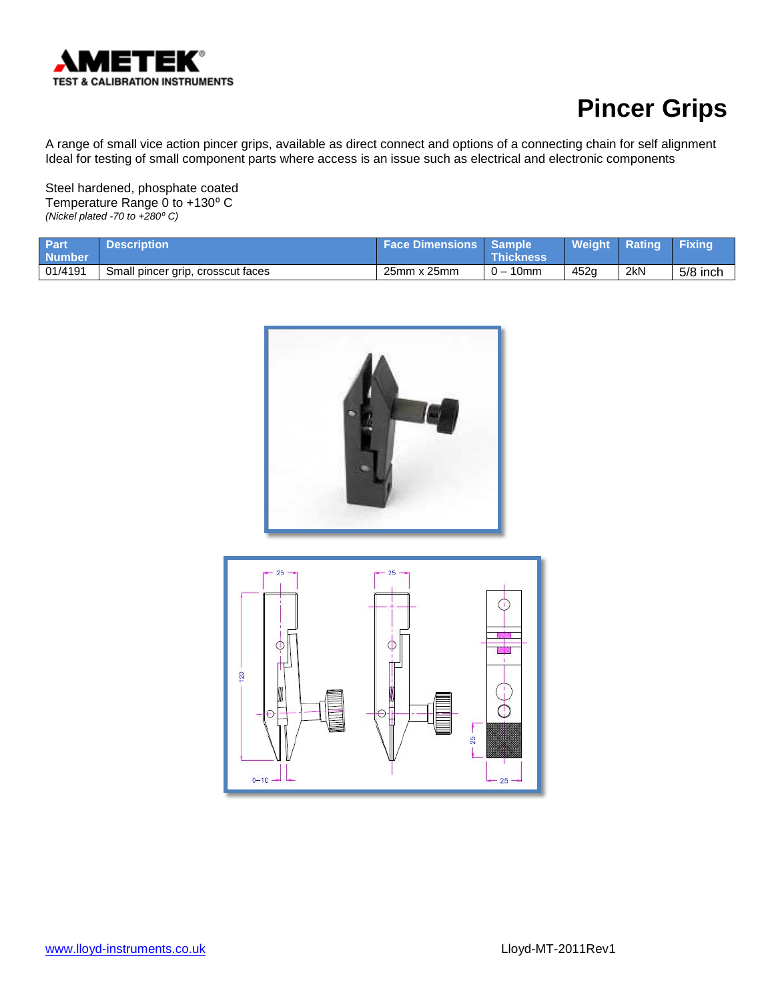

A range of small vice action pincer grips, available as direct connect and options of a connecting chain for self alignment Ideal for testing of small component parts where access is an issue such as electrical and electronic components

Steel hardened, phosphate coated Temperature Range 0 to +130° C *(Nickel plated -70 to +280⁰ C)*

| <b>Part</b><br><b>Number</b> | <b>Description</b>                | <b>Face Dimensions   Sample a</b> | <b>Thickness</b>          | <b>Weight Rating</b> |     | <b>Fixing</b> |
|------------------------------|-----------------------------------|-----------------------------------|---------------------------|----------------------|-----|---------------|
| 01/4191                      | Small pincer grip, crosscut faces | 25mm x 25mm                       | 10 <sub>mm</sub><br>$0 -$ | 452 <sub>a</sub>     | 2kN | $5/8$ inch    |

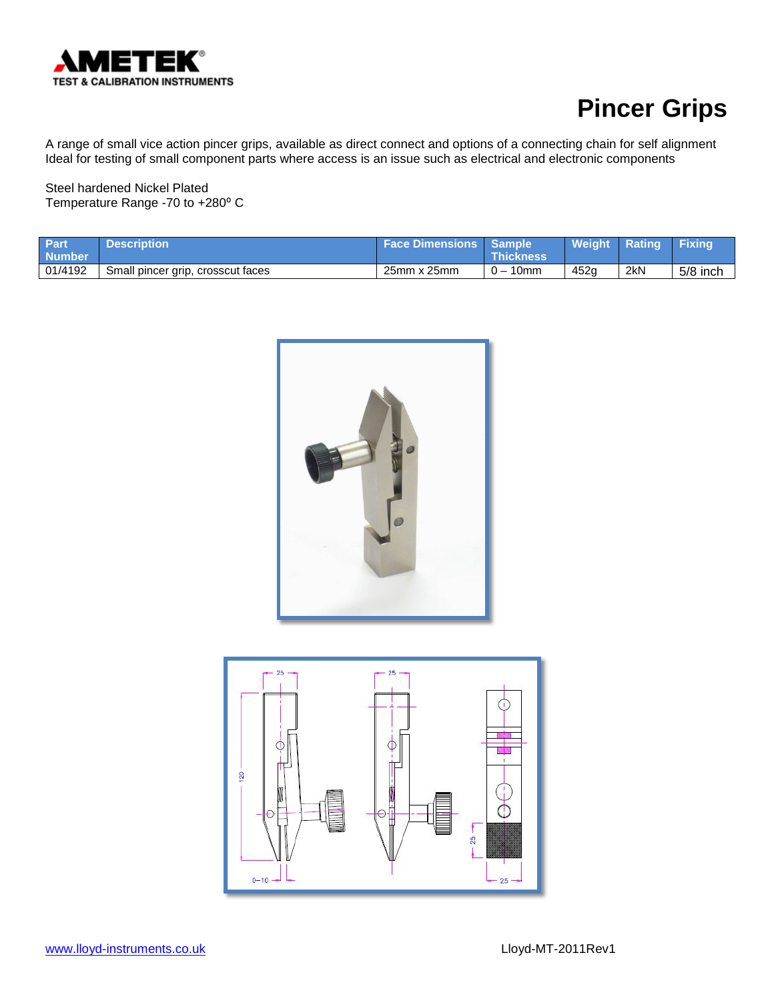

A range of small vice action pincer grips, available as direct connect and options of a connecting chain for self alignment Ideal for testing of small component parts where access is an issue such as electrical and electronic components

Steel hardened Nickel Plated Temperature Range -70 to +280° C

| <b>Part</b><br><b>Number</b> | <b>Description</b>                | Face Dimensions   Sample | <b>\Thickness\</b> | <b>Weight Rating</b> |     | <b>Fixing</b> |
|------------------------------|-----------------------------------|--------------------------|--------------------|----------------------|-----|---------------|
| 01/4192                      | Small pincer grip, crosscut faces | 25mm x 25mm              | $-10$ mm           | 452a                 | 2kN | 5/8 inch      |



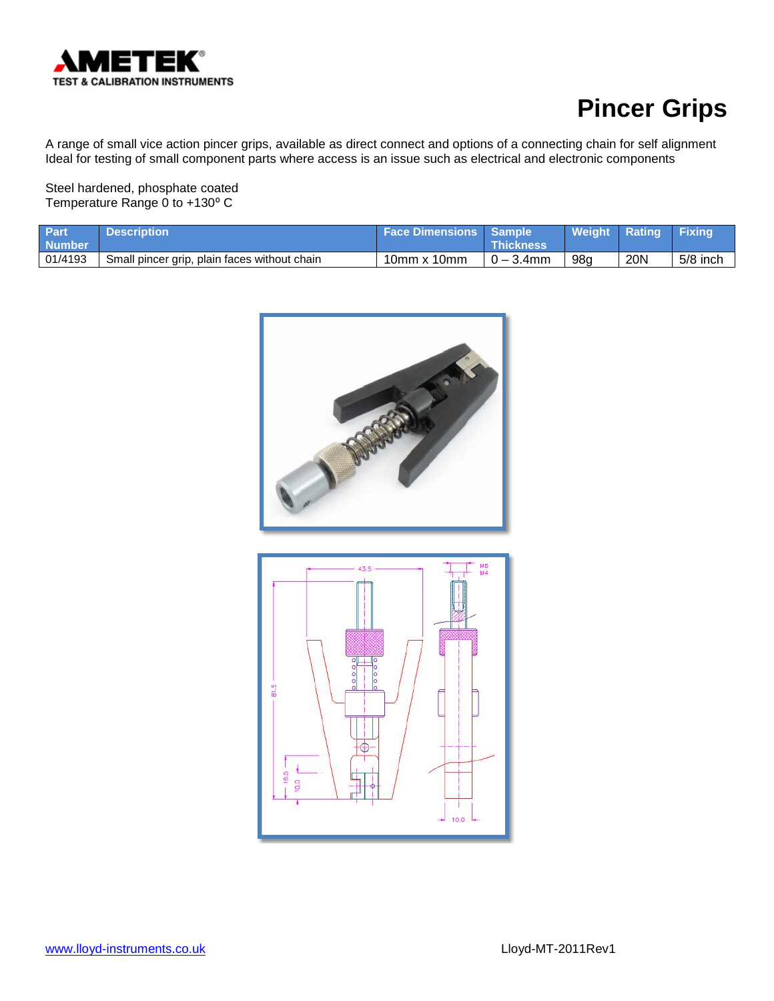

A range of small vice action pincer grips, available as direct connect and options of a connecting chain for self alignment Ideal for testing of small component parts where access is an issue such as electrical and electronic components

Steel hardened, phosphate coated Temperature Range 0 to +130° C

| Part<br><b>Number</b> | <b>Description</b> '                         | <b>Face Dimensions Sample</b> | <b>Thickness</b> | Weight Rating |     | <b>Fixing</b> |
|-----------------------|----------------------------------------------|-------------------------------|------------------|---------------|-----|---------------|
| 01/4193               | Small pincer grip, plain faces without chain | $10$ mm x $10$ mm             | $0 - 3.4$ mm     | 98a           | 20N | 5/8 inch      |



16.5 10.0

 $10.0$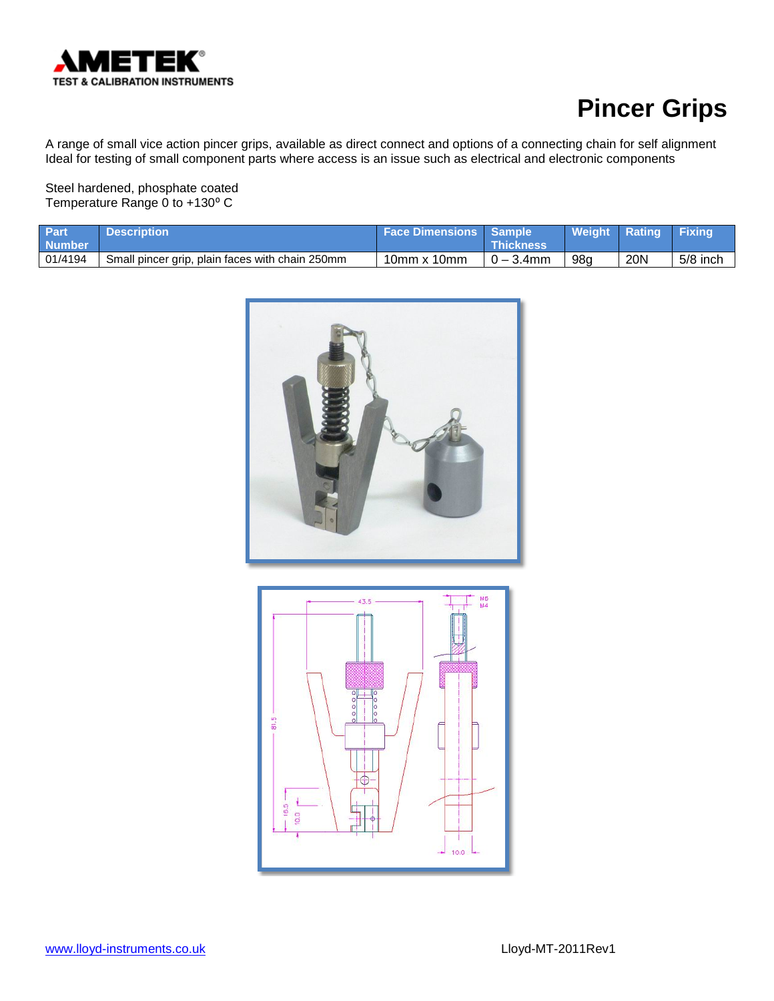

A range of small vice action pincer grips, available as direct connect and options of a connecting chain for self alignment Ideal for testing of small component parts where access is an issue such as electrical and electronic components

Steel hardened, phosphate coated Temperature Range 0 to +130° C

| <b>Part</b><br><b>Number</b> | <b>Description</b>                              | <b>Face Dimensions   Sample</b> | <b>Thickness</b> | <b>Weight Rating</b> |     | <b>Fixing</b> |
|------------------------------|-------------------------------------------------|---------------------------------|------------------|----------------------|-----|---------------|
| 01/4194                      | Small pincer grip, plain faces with chain 250mm | $10$ mm x $10$ mm               | $0 - 3.4$ mm     | 98g                  | 20N | $5/8$ inch    |



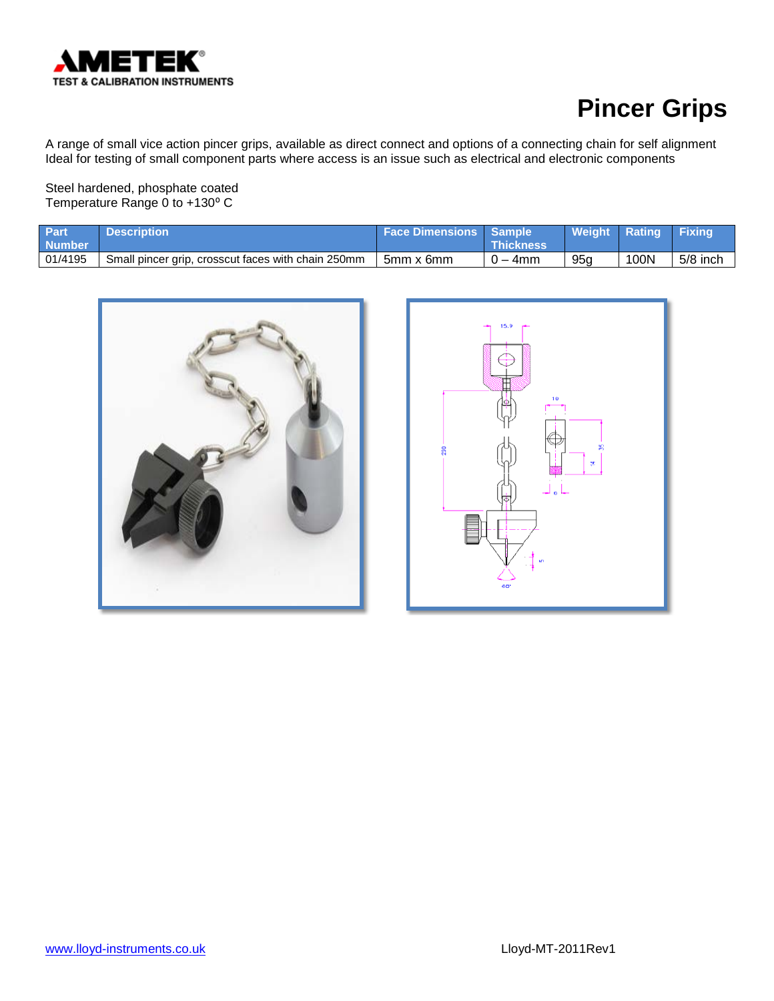

A range of small vice action pincer grips, available as direct connect and options of a connecting chain for self alignment Ideal for testing of small component parts where access is an issue such as electrical and electronic components

Steel hardened, phosphate coated Temperature Range 0 to +130° C

| <b>Part</b><br><b>Number</b> | <b>Description</b>                                 | <b>Face Dimensions   Sample</b> | <b>Thickness</b> | Weight Rating Fixing |      |            |
|------------------------------|----------------------------------------------------|---------------------------------|------------------|----------------------|------|------------|
| 01/4195                      | Small pincer grip, crosscut faces with chain 250mm | 5mm x 6mm                       | $0 - 4$ mm       | 95a                  | 100N | $5/8$ inch |



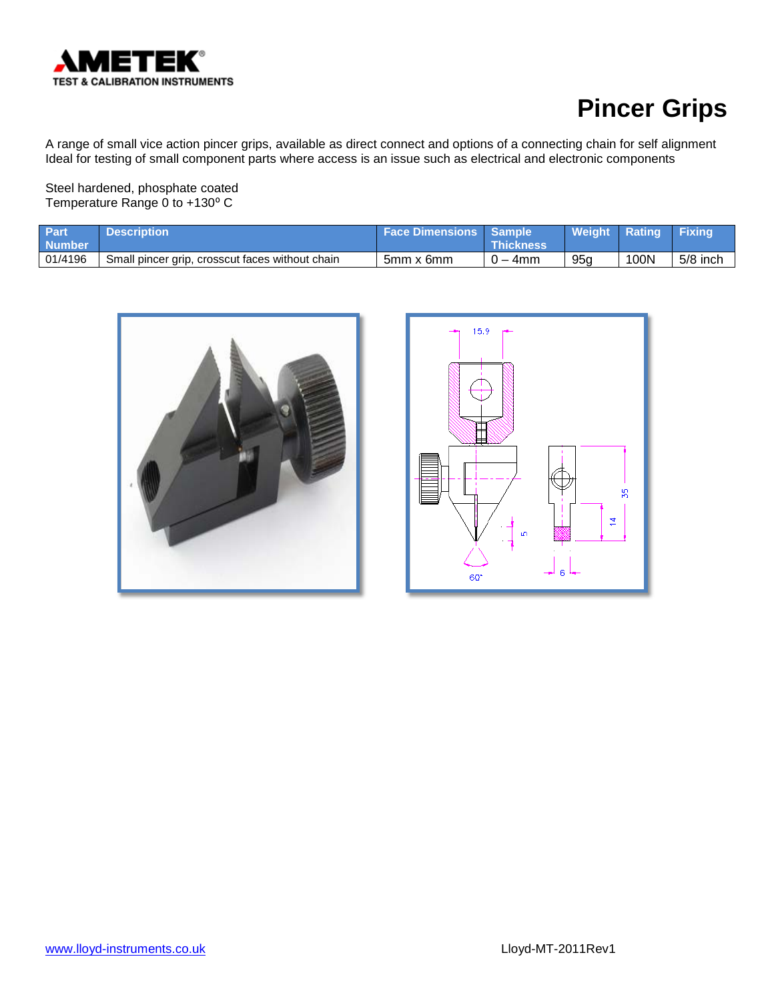

A range of small vice action pincer grips, available as direct connect and options of a connecting chain for self alignment Ideal for testing of small component parts where access is an issue such as electrical and electronic components

Steel hardened, phosphate coated Temperature Range 0 to +130° C

| Part<br><b>Number</b> | <b>Description</b>                              | <b>Face Dimensions Sample</b> | <b>⊾Thickness</b> | Weight Rating   |      | <b>Fixing</b> |
|-----------------------|-------------------------------------------------|-------------------------------|-------------------|-----------------|------|---------------|
| 01/4196               | Small pincer grip, crosscut faces without chain | 5mm x 6mm                     | $0 - 4$ mm        | 95 <sub>q</sub> | 100N | $5/8$ inch    |



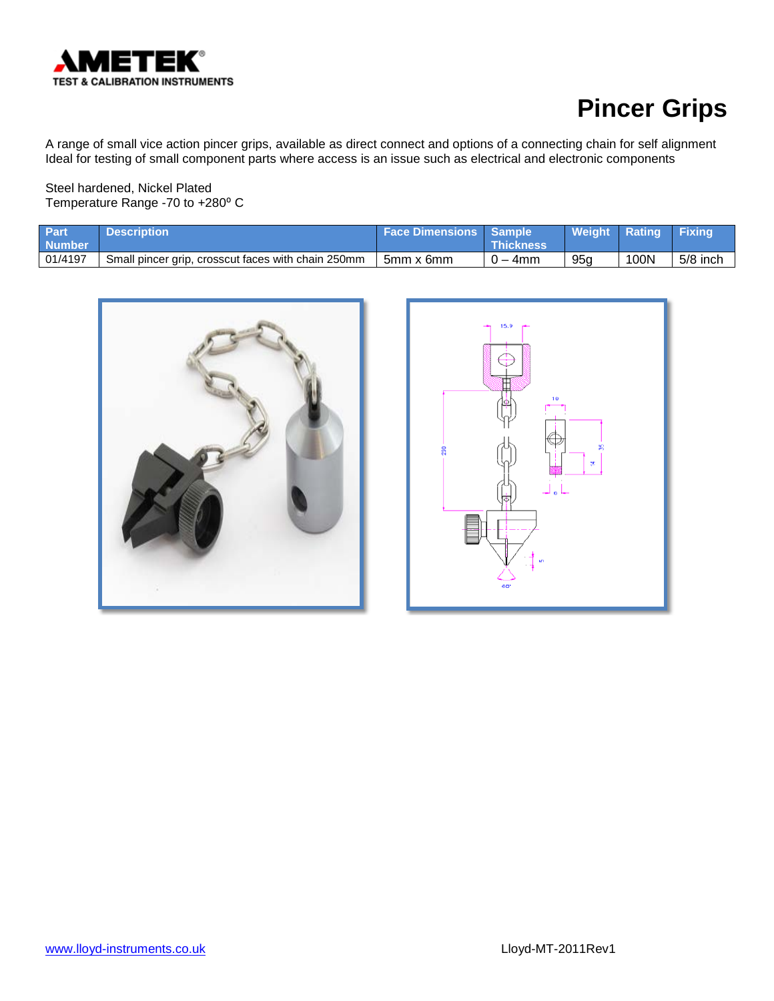

A range of small vice action pincer grips, available as direct connect and options of a connecting chain for self alignment Ideal for testing of small component parts where access is an issue such as electrical and electronic components

Steel hardened, Nickel Plated Temperature Range -70 to +280° C

| <b>Part</b><br><b>Number</b> | <b>Description</b>                                 | <b>Face Dimensions   Sample</b> | <b>Thickness</b> | Weight Rating Fixing |      |            |
|------------------------------|----------------------------------------------------|---------------------------------|------------------|----------------------|------|------------|
| 01/4197                      | Small pincer grip, crosscut faces with chain 250mm | 5mm x 6mm                       | $0 - 4$ mm       | 95a                  | 100N | $5/8$ inch |